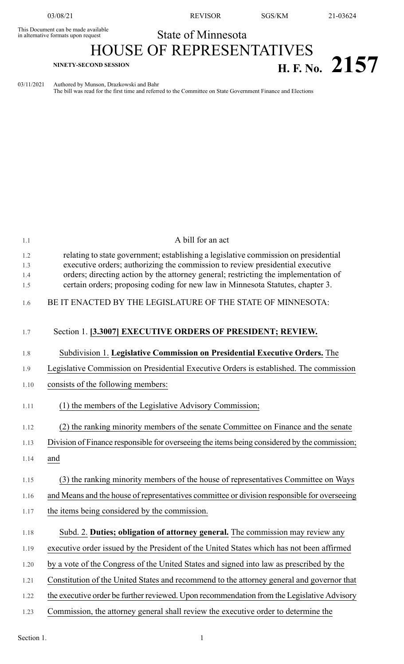This Document can be made available<br>in alternative formats upon request

03/08/21 REVISOR SGS/KM 21-03624

## State of Minnesota HOUSE OF REPRESENTATIVES **H. F.** No. 2157

03/11/2021 Authored by Munson, Drazkowski and Bahr

The bill was read for the first time and referred to the Committee on State Government Finance and Elections

| 1.1        | A bill for an act                                                                                                                                                     |
|------------|-----------------------------------------------------------------------------------------------------------------------------------------------------------------------|
| 1.2<br>1.3 | relating to state government; establishing a legislative commission on presidential<br>executive orders; authorizing the commission to review presidential executive  |
| 1.4<br>1.5 | orders; directing action by the attorney general; restricting the implementation of<br>certain orders; proposing coding for new law in Minnesota Statutes, chapter 3. |
| 1.6        | BE IT ENACTED BY THE LEGISLATURE OF THE STATE OF MINNESOTA:                                                                                                           |
| 1.7        | Section 1. [3.3007] EXECUTIVE ORDERS OF PRESIDENT; REVIEW.                                                                                                            |
| 1.8        | Subdivision 1. Legislative Commission on Presidential Executive Orders. The                                                                                           |
| 1.9        | Legislative Commission on Presidential Executive Orders is established. The commission                                                                                |
| 1.10       | consists of the following members:                                                                                                                                    |
| 1.11       | (1) the members of the Legislative Advisory Commission;                                                                                                               |
| 1.12       | (2) the ranking minority members of the senate Committee on Finance and the senate                                                                                    |
| 1.13       | Division of Finance responsible for overseeing the items being considered by the commission;                                                                          |
| 1.14       | and                                                                                                                                                                   |
| 1.15       | (3) the ranking minority members of the house of representatives Committee on Ways                                                                                    |
| 1.16       | and Means and the house of representatives committee or division responsible for overseeing                                                                           |
| 1.17       | the items being considered by the commission.                                                                                                                         |
| 1.18       | Subd. 2. Duties; obligation of attorney general. The commission may review any                                                                                        |
| 1.19       | executive order issued by the President of the United States which has not been affirmed                                                                              |
| 1.20       | by a vote of the Congress of the United States and signed into law as prescribed by the                                                                               |
| 1.21       | Constitution of the United States and recommend to the attorney general and governor that                                                                             |
| 1.22       | the executive order be further reviewed. Upon recommendation from the Legislative Advisory                                                                            |
| 1.23       | Commission, the attorney general shall review the executive order to determine the                                                                                    |

Section 1.